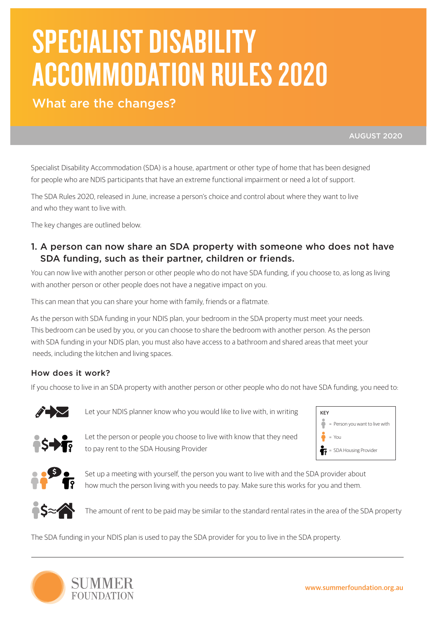# SPECIALIST DISABILITY ACCOMMODATION RULES 2020

What are the changes?

AUGUST 2020

Specialist Disability Accommodation (SDA) is a house, apartment or other type of home that has been designed for people who are NDIS participants that have an extreme functional impairment or need a lot of support.

The SDA Rules 2020, released in June, increase a person's choice and control about where they want to live and who they want to live with.

The key changes are outlined below.

#### 1. A person can now share an SDA property with someone who does not have SDA funding, such as their partner, children or friends.

You can now live with another person or other people who do not have SDA funding, if you choose to, as long as living with another person or other people does not have a negative impact on you.

This can mean that you can share your home with family, friends or a flatmate.

As the person with SDA funding in your NDIS plan, your bedroom in the SDA property must meet your needs. This bedroom can be used by you, or you can choose to share the bedroom with another person. As the person with SDA funding in your NDIS plan, you must also have access to a bathroom and shared areas that meet your needs, including the kitchen and living spaces.

#### How does it work?

If you choose to live in an SDA property with another person or other people who do not have SDA funding, you need to:



Let your NDIS planner know who you would like to live with, in writing



Let the person or people you choose to live with know that they need to pay rent to the SDA Housing Provider





Set up a meeting with yourself, the person you want to live with and the SDA provider about how much the person living with you needs to pay. Make sure this works for you and them.



The amount of rent to be paid may be similar to the standard rental rates in the area of the SDA property

The SDA funding in your NDIS plan is used to pay the SDA provider for you to live in the SDA property.